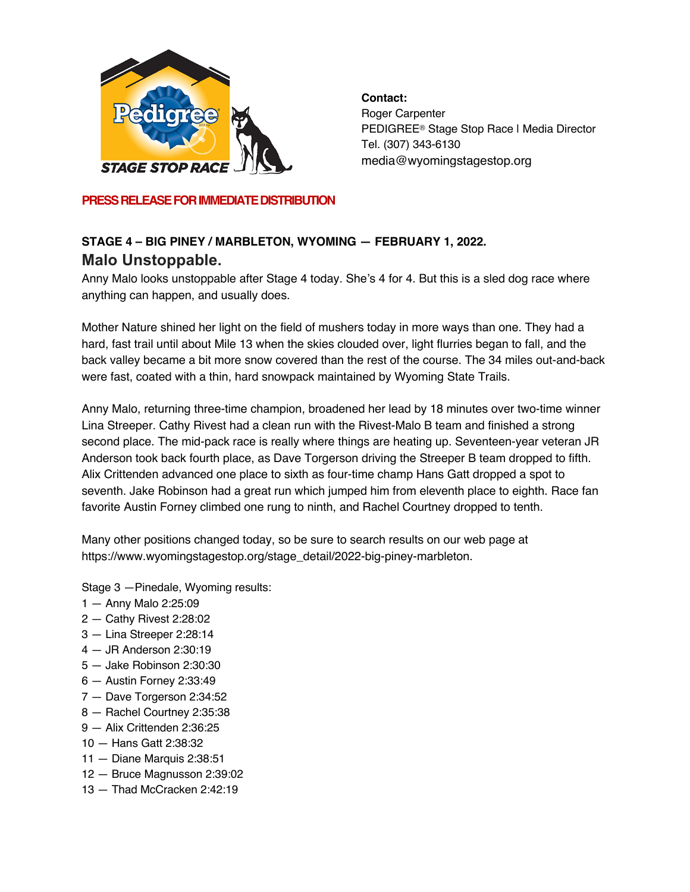

**Contact:** Roger Carpenter PEDIGREE® Stage Stop Race | Media Director Tel. (307) 343-6130 media@wyomingstagestop.org

**PRESS RELEASE FOR IMMEDIATE DISTRIBUTION**

# STAGE 4 - BIG PINEY / MARBLETON, WYOMING - FEBRUARY 1, 2022. **Malo Unstoppable.**

Anny Malo looks unstoppable after Stage 4 today. She's 4 for 4. But this is a sled dog race where anything can happen, and usually does.

Mother Nature shined her light on the field of mushers today in more ways than one. They had a hard, fast trail until about Mile 13 when the skies clouded over, light flurries began to fall, and the back valley became a bit more snow covered than the rest of the course. The 34 miles out-and-back were fast, coated with a thin, hard snowpack maintained by Wyoming State Trails.

Anny Malo, returning three-time champion, broadened her lead by 18 minutes over two-time winner Lina Streeper. Cathy Rivest had a clean run with the Rivest-Malo B team and finished a strong second place. The mid-pack race is really where things are heating up. Seventeen-year veteran JR Anderson took back fourth place, as Dave Torgerson driving the Streeper B team dropped to fifth. Alix Crittenden advanced one place to sixth as four-time champ Hans Gatt dropped a spot to seventh. Jake Robinson had a great run which jumped him from eleventh place to eighth. Race fan favorite Austin Forney climbed one rung to ninth, and Rachel Courtney dropped to tenth.

Many other positions changed today, so be sure to search results on our web page at https://www.wyomingstagestop.org/stage\_detail/2022-big-piney-marbleton.

Stage 3 —Pinedale, Wyoming results:

- 1 Anny Malo 2:25:09
- 2 Cathy Rivest 2:28:02
- 3 Lina Streeper 2:28:14
- 4 JR Anderson 2:30:19
- 5 Jake Robinson 2:30:30
- 6 Austin Forney 2:33:49
- 7 Dave Torgerson 2:34:52
- 8 Rachel Courtney 2:35:38
- 9 Alix Crittenden 2:36:25
- 10 Hans Gatt 2:38:32
- 11 Diane Marquis 2:38:51
- 12 Bruce Magnusson 2:39:02
- 13 Thad McCracken 2:42:19